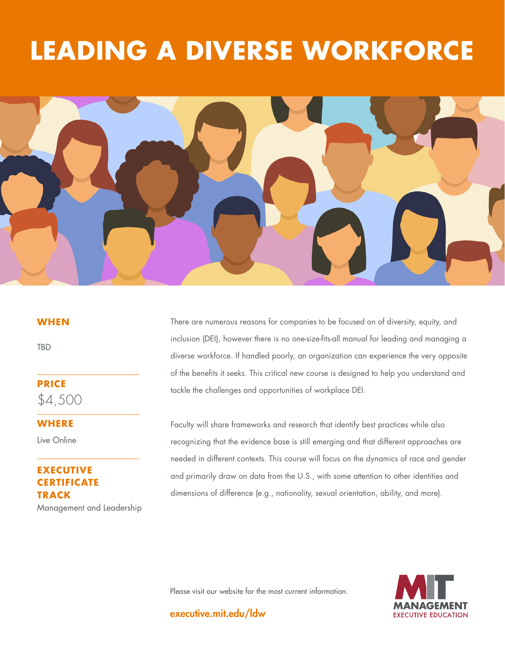# **DIVEKSE WORKFO LEADING A DIVERSE WORKFORCE**



### **WHEN**

TBD

**PRICE** \$4,500

**WHERE** 

Live Online

# **ECUTIVE CERTIFICATE TRACK** Management and Leadership

There are numerous reasons for companies to be focused on of diversity, equity, and inclusion (DEI), however there is no one-size-fits-all manual for leading and managing a diverse workforce. If handled poorly, an organization can experience the very opposite of the benefits it seeks. This critical new course is designed to help you understand and tackle the challenges and opportunities of workplace DEI.

Faculty will share frameworks and research that identify best practices while also recognizing that the evidence base is still emerging and that different approaches are needed in different contexts. This course will focus on the dynamics of race and gender and primarily draw on data from the U.S., with some attention to other identities and dimensions of difference (e.g., nationality, sexual orientation, ability, and more).

Please visit our website for the most current information.



executive.mit.edu/ldw